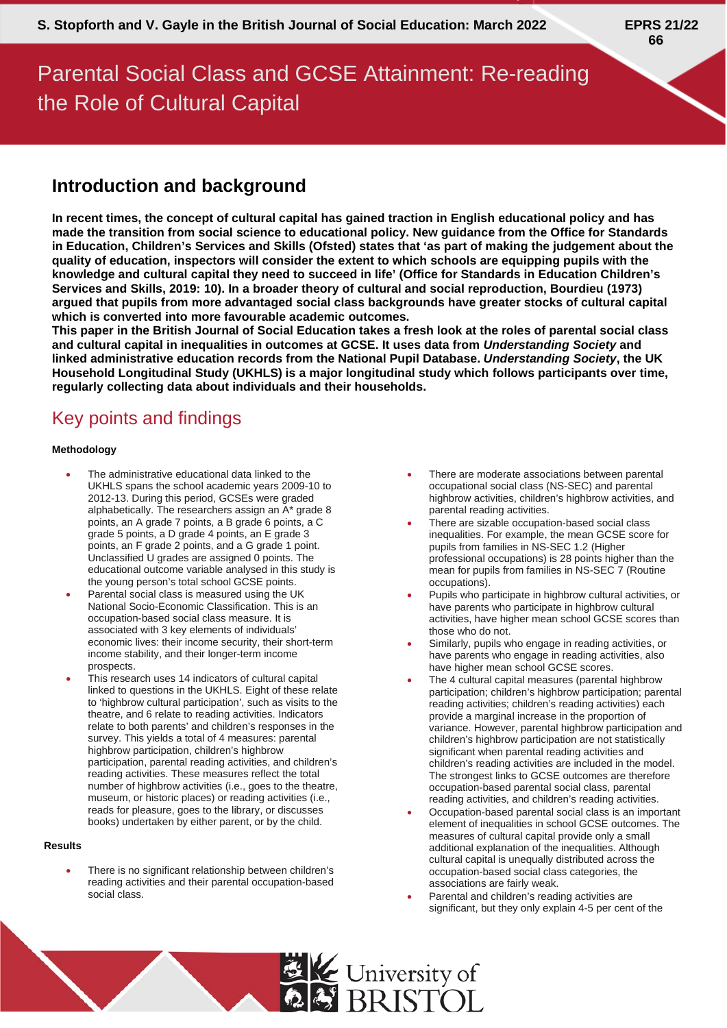# Parental Social Class and GCSE Attainment: Re-reading the Role of Cultural Capital

### **Introduction and background**

**In recent times, the concept of cultural capital has gained traction in English educational policy and has made the transition from social science to educational policy. New guidance from the Office for Standards in Education, Children's Services and Skills (Ofsted) states that 'as part of making the judgement about the quality of education, inspectors will consider the extent to which schools are equipping pupils with the knowledge and cultural capital they need to succeed in life' (Office for Standards in Education Children's Services and Skills, 2019: 10). In a broader theory of cultural and social reproduction, Bourdieu (1973) argued that pupils from more advantaged social class backgrounds have greater stocks of cultural capital which is converted into more favourable academic outcomes.**

**This paper in the British Journal of Social Education takes a fresh look at the roles of parental social class and cultural capital in inequalities in outcomes at GCSE. It uses data from** *Understanding Society* **and linked administrative education records from the National Pupil Database.** *Understanding Society***, the UK Household Longitudinal Study (UKHLS) is a major longitudinal study which follows participants over time, regularly collecting data about individuals and their households.**

## Key points and findings

#### **Methodology**

- The administrative educational data linked to the UKHLS spans the school academic years 2009-10 to 2012-13. During this period, GCSEs were graded alphabetically. The researchers assign an A\* grade 8 points, an A grade 7 points, a B grade 6 points, a C grade 5 points, a D grade 4 points, an E grade 3 points, an F grade 2 points, and a G grade 1 point. Unclassified U grades are assigned 0 points. The educational outcome variable analysed in this study is the young person's total school GCSE points.
- Parental social class is measured using the UK National Socio-Economic Classification. This is an occupation-based social class measure. It is associated with 3 key elements of individuals' economic lives: their income security, their short-term income stability, and their longer-term income prospects.
- This research uses 14 indicators of cultural capital linked to questions in the UKHLS. Eight of these relate to 'highbrow cultural participation', such as visits to the theatre, and 6 relate to reading activities. Indicators relate to both parents' and children's responses in the survey. This yields a total of 4 measures: parental highbrow participation, children's highbrow participation, parental reading activities, and children's reading activities. These measures reflect the total number of highbrow activities (i.e., goes to the theatre, museum, or historic places) or reading activities (i.e., reads for pleasure, goes to the library, or discusses books) undertaken by either parent, or by the child.

#### **Results**

• There is no significant relationship between children's reading activities and their parental occupation-based social class.

- There are moderate associations between parental occupational social class (NS-SEC) and parental highbrow activities, children's highbrow activities, and parental reading activities.
- There are sizable occupation-based social class inequalities. For example, the mean GCSE score for pupils from families in NS-SEC 1.2 (Higher professional occupations) is 28 points higher than the mean for pupils from families in NS-SEC 7 (Routine occupations).
- Pupils who participate in highbrow cultural activities, or have parents who participate in highbrow cultural activities, have higher mean school GCSE scores than those who do not.
- Similarly, pupils who engage in reading activities, or have parents who engage in reading activities, also have higher mean school GCSE scores.
- The 4 cultural capital measures (parental highbrow participation; children's highbrow participation; parental reading activities; children's reading activities) each provide a marginal increase in the proportion of variance. However, parental highbrow participation and children's highbrow participation are not statistically significant when parental reading activities and children's reading activities are included in the model. The strongest links to GCSE outcomes are therefore occupation-based parental social class, parental reading activities, and children's reading activities.
- Occupation-based parental social class is an important element of inequalities in school GCSE outcomes. The measures of cultural capital provide only a small additional explanation of the inequalities. Although cultural capital is unequally distributed across the occupation-based social class categories, the associations are fairly weak.
- Parental and children's reading activities are significant, but they only explain 4-5 per cent of the